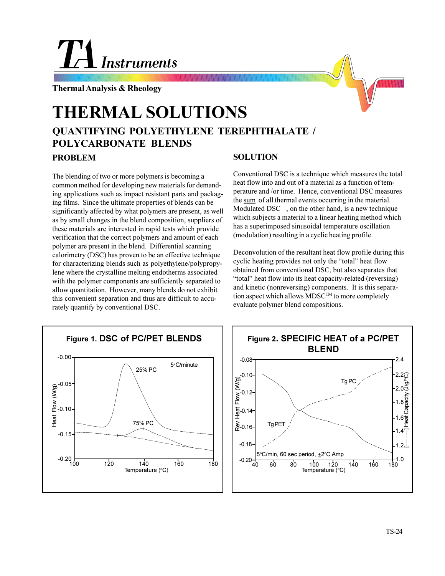## La Instruments

**Thermal Analysis & Rheology**

## **QUANTIFYING POLYETHYLENE TEREPHTHALATE / POLYCARBONATE BLENDS THERMAL SOLUTIONS**

**PROBLEM**

The blending of two or more polymers is becoming a common method for developing new materials for demanding applications such as impact resistant parts and packaging films. Since the ultimate properties of blends can be significantly affected by what polymers are present, as well as by small changes in the blend composition, suppliers of these materials are interested in rapid tests which provide verification that the correct polymers and amount of each polymer are present in the blend. Differential scanning calorimetry (DSC) has proven to be an effective technique for characterizing blends such as polyethylene/polypropylene where the crystalline melting endotherms associated with the polymer components are sufficiently separated to allow quantitation. However, many blends do not exhibit this convenient separation and thus are difficult to accurately quantify by conventional DSC.

## **SOLUTION**

Conventional DSC is a technique which measures the total heat flow into and out of a material as a function of temperature and /or time. Hence, conventional DSC measures the sum of all thermal events occurring in the material. Modulated DSC<sup> $TM$ </sup>, on the other hand, is a new technique which subjects a material to a linear heating method which has a superimposed sinusoidal temperature oscillation (modulation) resulting in a cyclic heating profile.

Deconvolution of the resultant heat flow profile during this cyclic heating provides not only the "total" heat flow obtained from conventional DSC, but also separates that "total" heat flow into its heat capacity-related (reversing) and kinetic (nonreversing) components. It is this separation aspect which allows  $MDSC^{TM}$  to more completely evaluate polymer blend compositions.